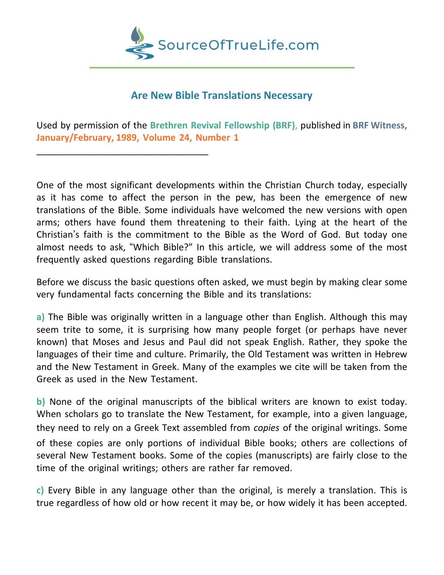

# **Are New Bible Translations Necessary**

Used by permission of the **Brethren Revival Fellowship (BRF)**, published in **BRF Witness, January/February, 1989, Volume 24, Number 1**

\_\_\_\_\_\_\_\_\_\_\_\_\_\_\_\_\_\_\_\_\_\_\_\_\_\_\_\_\_\_\_\_\_\_

One of the most significant developments within the Christian Church today, especially as it has come to affect the person in the pew, has been the emergence of new translations of the Bible. Some individuals have welcomed the new versions with open arms; others have found them threatening to their faith. Lying at the heart of the Christian's faith is the commitment to the Bible as the Word of God. But today one almost needs to ask, "Which Bible?" In this article, we will address some of the most frequently asked questions regarding Bible translations.

Before we discuss the basic questions often asked, we must begin by making clear some very fundamental facts concerning the Bible and its translations:

**a)** The Bible was originally written in a language other than English. Although this may seem trite to some, it is surprising how many people forget (or perhaps have never known) that Moses and Jesus and Paul did not speak English. Rather, they spoke the languages of their time and culture. Primarily, the Old Testament was written in Hebrew and the New Testament in Greek. Many of the examples we cite will be taken from the Greek as used in the New Testament.

**b)** None of the original manuscripts of the biblical writers are known to exist today. When scholars go to translate the New Testament, for example, into a given language, they need to rely on a Greek Text assembled from *copies* of the original writings. Some

of these copies are only portions of individual Bible books; others are collections of several New Testament books. Some of the copies (manuscripts) are fairly close to the time of the original writings; others are rather far removed.

**c)** Every Bible in any language other than the original, is merely a translation. This is true regardless of how old or how recent it may be, or how widely it has been accepted.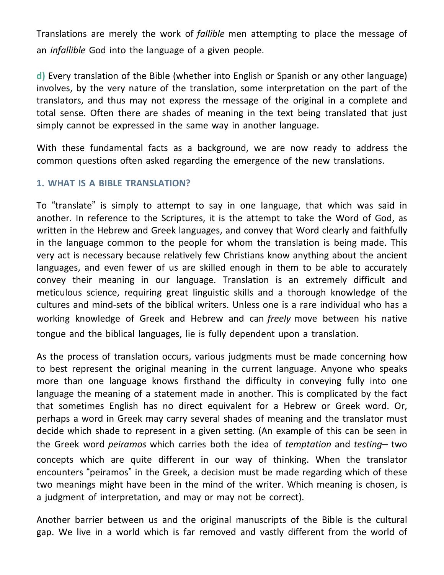Translations are merely the work of *fallible* men attempting to place the message of an *infallible* God into the language of a given people.

**d)** Every translation of the Bible (whether into English or Spanish or any other language) involves, by the very nature of the translation, some interpretation on the part of the translators, and thus may not express the message of the original in a complete and total sense. Often there are shades of meaning in the text being translated that just simply cannot be expressed in the same way in another language.

With these fundamental facts as a background, we are now ready to address the common questions often asked regarding the emergence of the new translations.

## **1. WHAT IS A BIBLE TRANSLATION?**

To "translate" is simply to attempt to say in one language, that which was said in another. In reference to the Scriptures, it is the attempt to take the Word of God, as written in the Hebrew and Greek languages, and convey that Word clearly and faithfully in the language common to the people for whom the translation is being made. This very act is necessary because relatively few Christians know anything about the ancient languages, and even fewer of us are skilled enough in them to be able to accurately convey their meaning in our language. Translation is an extremely difficult and meticulous science, requiring great linguistic skills and a thorough knowledge of the cultures and mind-sets of the biblical writers. Unless one is a rare individual who has a working knowledge of Greek and Hebrew and can *freely* move between his native tongue and the biblical languages, lie is fully dependent upon a translation.

As the process of translation occurs, various judgments must be made concerning how to best represent the original meaning in the current language. Anyone who speaks more than one language knows firsthand the difficulty in conveying fully into one language the meaning of a statement made in another. This is complicated by the fact that sometimes English has no direct equivalent for a Hebrew or Greek word. Or, perhaps a word in Greek may carry several shades of meaning and the translator must decide which shade to represent in a given setting. (An example of this can be seen in the Greek word *peiramos* which carries both the idea of *temptation* and *testing–* two concepts which are quite different in our way of thinking. When the translator encounters "peiramos" in the Greek, a decision must be made regarding which of these two meanings might have been in the mind of the writer. Which meaning is chosen, is a judgment of interpretation, and may or may not be correct).

Another barrier between us and the original manuscripts of the Bible is the cultural gap. We live in a world which is far removed and vastly different from the world of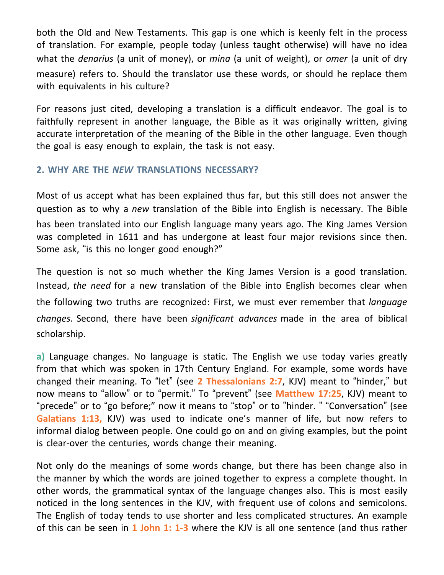both the Old and New Testaments. This gap is one which is keenly felt in the process of translation. For example, people today (unless taught otherwise) will have no idea what the *denarius* (a unit of money), or *mina* (a unit of weight), or *omer* (a unit of dry measure) refers to. Should the translator use these words, or should he replace them with equivalents in his culture?

For reasons just cited, developing a translation is a difficult endeavor. The goal is to faithfully represent in another language, the Bible as it was originally written, giving accurate interpretation of the meaning of the Bible in the other language. Even though the goal is easy enough to explain, the task is not easy.

### **2. WHY ARE THE** *NEW* **TRANSLATIONS NECESSARY?**

Most of us accept what has been explained thus far, but this still does not answer the question as to why a *new* translation of the Bible into English is necessary. The Bible has been translated into our English language many years ago. The King James Version was completed in 1611 and has undergone at least four major revisions since then. Some ask, "is this no longer good enough?"

The question is not so much whether the King James Version is a good translation. Instead, *the need* for a new translation of the Bible into English becomes clear when the following two truths are recognized: First, we must ever remember that *language changes.* Second, there have been *significant advances* made in the area of biblical scholarship.

**a)** Language changes. No language is static. The English we use today varies greatly from that which was spoken in 17th Century England. For example, some words have changed their meaning. To "let" (see **2 Thessalonians 2:7**, KJV) meant to "hinder," but now means to "allow" or to "permit." To "prevent" (see **Matthew 17:25**, KJV) meant to "precede" or to "go before;" now it means to "stop" or to "hinder. " "Conversation" (see **Galatians 1:13,** KJV) was used to indicate one's manner of life, but now refers to informal dialog between people. One could go on and on giving examples, but the point is clear-over the centuries, words change their meaning.

Not only do the meanings of some words change, but there has been change also in the manner by which the words are joined together to express a complete thought. In other words, the grammatical syntax of the language changes also. This is most easily noticed in the long sentences in the KJV, with frequent use of colons and semicolons. The English of today tends to use shorter and less complicated structures. An example of this can be seen in **1 John 1: 1-3** where the KJV is all one sentence (and thus rather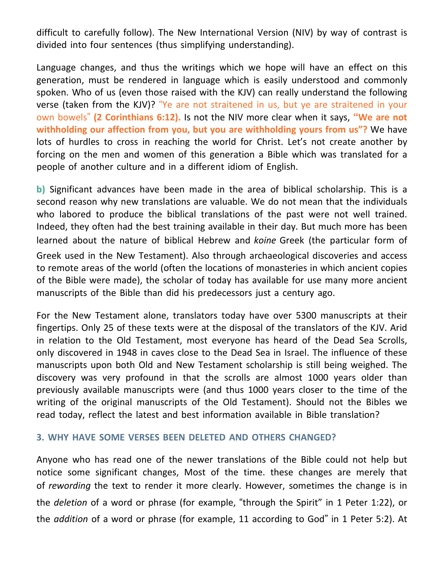difficult to carefully follow). The New International Version (NIV) by way of contrast is divided into four sentences (thus simplifying understanding).

Language changes, and thus the writings which we hope will have an effect on this generation, must be rendered in language which is easily understood and commonly spoken. Who of us (even those raised with the KJV) can really understand the following verse (taken from the KJV)? "Ye are not straitened in us, but ye are straitened in your own bowels" **(2 Corinthians 6:12).** Is not the NIV more clear when it says, **"We are not withholding our affection from you, but you are withholding yours from us"?** We have lots of hurdles to cross in reaching the world for Christ. Let's not create another by forcing on the men and women of this generation a Bible which was translated for a people of another culture and in a different idiom of English.

**b)** Significant advances have been made in the area of biblical scholarship. This is a second reason why new translations are valuable. We do not mean that the individuals who labored to produce the biblical translations of the past were not well trained. Indeed, they often had the best training available in their day. But much more has been learned about the nature of biblical Hebrew and *koine* Greek (the particular form of Greek used in the New Testament). Also through archaeological discoveries and access to remote areas of the world (often the locations of monasteries in which ancient copies of the Bible were made), the scholar of today has available for use many more ancient manuscripts of the Bible than did his predecessors just a century ago.

For the New Testament alone, translators today have over 5300 manuscripts at their fingertips. Only 25 of these texts were at the disposal of the translators of the KJV. Arid in relation to the Old Testament, most everyone has heard of the Dead Sea Scrolls, only discovered in 1948 in caves close to the Dead Sea in Israel. The influence of these manuscripts upon both Old and New Testament scholarship is still being weighed. The discovery was very profound in that the scrolls are almost 1000 years older than previously available manuscripts were (and thus 1000 years closer to the time of the writing of the original manuscripts of the Old Testament). Should not the Bibles we read today, reflect the latest and best information available in Bible translation?

#### **3. WHY HAVE SOME VERSES BEEN DELETED AND OTHERS CHANGED?**

Anyone who has read one of the newer translations of the Bible could not help but notice some significant changes, Most of the time. these changes are merely that of *rewording* the text to render it more clearly. However, sometimes the change is in the *deletion* of a word or phrase (for example, "through the Spirit" in 1 Peter 1:22), or the *addition* of a word or phrase (for example, 11 according to God" in 1 Peter 5:2). At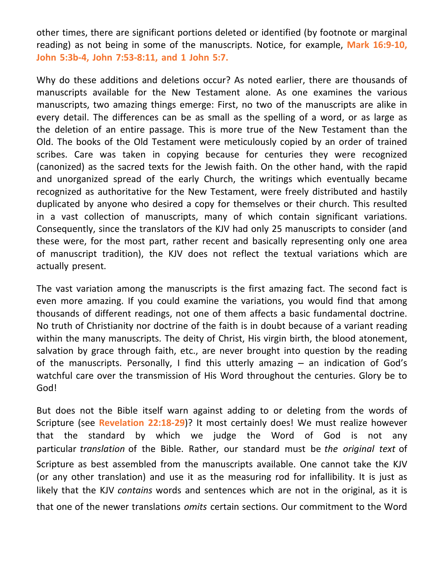other times, there are significant portions deleted or identified (by footnote or marginal reading) as not being in some of the manuscripts. Notice, for example, **Mark 16:9-10, John 5:3b-4, John 7:53-8:11, and 1 John 5:7.**

Why do these additions and deletions occur? As noted earlier, there are thousands of manuscripts available for the New Testament alone. As one examines the various manuscripts, two amazing things emerge: First, no two of the manuscripts are alike in every detail. The differences can be as small as the spelling of a word, or as large as the deletion of an entire passage. This is more true of the New Testament than the Old. The books of the Old Testament were meticulously copied by an order of trained scribes. Care was taken in copying because for centuries they were recognized (canonized) as the sacred texts for the Jewish faith. On the other hand, with the rapid and unorganized spread of the early Church, the writings which eventually became recognized as authoritative for the New Testament, were freely distributed and hastily duplicated by anyone who desired a copy for themselves or their church. This resulted in a vast collection of manuscripts, many of which contain significant variations. Consequently, since the translators of the KJV had only 25 manuscripts to consider (and these were, for the most part, rather recent and basically representing only one area of manuscript tradition), the KJV does not reflect the textual variations which are actually present.

The vast variation among the manuscripts is the first amazing fact. The second fact is even more amazing. If you could examine the variations, you would find that among thousands of different readings, not one of them affects a basic fundamental doctrine. No truth of Christianity nor doctrine of the faith is in doubt because of a variant reading within the many manuscripts. The deity of Christ, His virgin birth, the blood atonement, salvation by grace through faith, etc., are never brought into question by the reading of the manuscripts. Personally, I find this utterly amazing – an indication of God's watchful care over the transmission of His Word throughout the centuries. Glory be to God!

But does not the Bible itself warn against adding to or deleting from the words of Scripture (see **Revelation 22:18-29**)? It most certainly does! We must realize however that the standard by which we judge the Word of God is not any particular *translation* of the Bible. Rather, our standard must be *the original text* of Scripture as best assembled from the manuscripts available. One cannot take the KJV (or any other translation) and use it as the measuring rod for infallibility. It is just as likely that the KJV *contains* words and sentences which are not in the original, as it is that one of the newer translations *omits* certain sections. Our commitment to the Word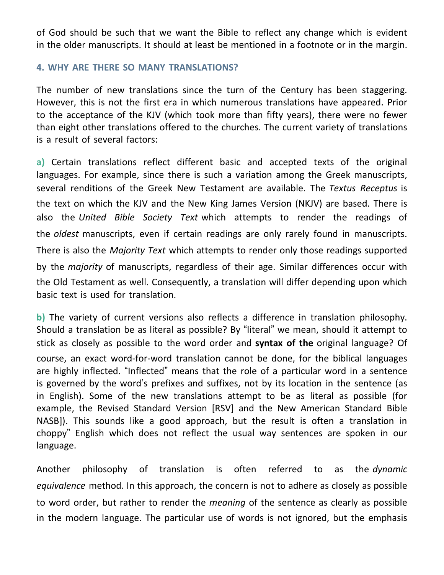of God should be such that we want the Bible to reflect any change which is evident in the older manuscripts. It should at least be mentioned in a footnote or in the margin.

#### **4. WHY ARE THERE SO MANY TRANSLATIONS?**

The number of new translations since the turn of the Century has been staggering. However, this is not the first era in which numerous translations have appeared. Prior to the acceptance of the KJV (which took more than fifty years), there were no fewer than eight other translations offered to the churches. The current variety of translations is a result of several factors:

**a)** Certain translations reflect different basic and accepted texts of the original languages. For example, since there is such a variation among the Greek manuscripts, several renditions of the Greek New Testament are available. The *Textus Receptus* is the text on which the KJV and the New King James Version (NKJV) are based. There is also the *United Bible Society Text* which attempts to render the readings of the *oldest* manuscripts, even if certain readings are only rarely found in manuscripts. There is also the *Majority Text* which attempts to render only those readings supported by the *majority* of manuscripts, regardless of their age. Similar differences occur with the Old Testament as well. Consequently, a translation will differ depending upon which basic text is used for translation.

**b)** The variety of current versions also reflects a difference in translation philosophy. Should a translation be as literal as possible? By "literal" we mean, should it attempt to stick as closely as possible to the word order and **syntax of the** original language? Of course, an exact word-for-word translation cannot be done, for the biblical languages are highly inflected. "Inflected" means that the role of a particular word in a sentence is governed by the word's prefixes and suffixes, not by its location in the sentence (as in English). Some of the new translations attempt to be as literal as possible (for example, the Revised Standard Version [RSV] and the New American Standard Bible NASB]). This sounds like a good approach, but the result is often a translation in choppy" English which does not reflect the usual way sentences are spoken in our language.

Another philosophy of translation is often referred to as the *dynamic equivalence* method. In this approach, the concern is not to adhere as closely as possible to word order, but rather to render the *meaning* of the sentence as clearly as possible in the modern language. The particular use of words is not ignored, but the emphasis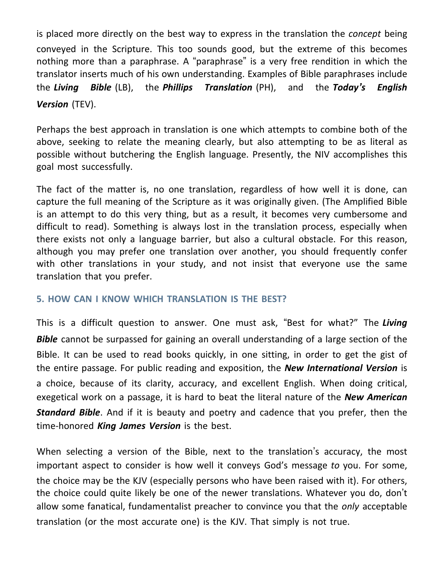is placed more directly on the best way to express in the translation the *concept* being conveyed in the Scripture. This too sounds good, but the extreme of this becomes nothing more than a paraphrase. A "paraphrase" is a very free rendition in which the translator inserts much of his own understanding. Examples of Bible paraphrases include the *Living Bible* (LB), the *Phillips Translation* (PH), and the *Today's English Version* (TEV).

Perhaps the best approach in translation is one which attempts to combine both of the above, seeking to relate the meaning clearly, but also attempting to be as literal as possible without butchering the English language. Presently, the NIV accomplishes this goal most successfully.

The fact of the matter is, no one translation, regardless of how well it is done, can capture the full meaning of the Scripture as it was originally given. (The Amplified Bible is an attempt to do this very thing, but as a result, it becomes very cumbersome and difficult to read). Something is always lost in the translation process, especially when there exists not only a language barrier, but also a cultural obstacle. For this reason, although you may prefer one translation over another, you should frequently confer with other translations in your study, and not insist that everyone use the same translation that you prefer.

#### **5. HOW CAN I KNOW WHICH TRANSLATION IS THE BEST?**

This is a difficult question to answer. One must ask, "Best for what?" The *Living Bible* cannot be surpassed for gaining an overall understanding of a large section of the Bible. It can be used to read books quickly, in one sitting, in order to get the gist of the entire passage. For public reading and exposition, the *New International Version* is a choice, because of its clarity, accuracy, and excellent English. When doing critical, exegetical work on a passage, it is hard to beat the literal nature of the *New American Standard Bible*. And if it is beauty and poetry and cadence that you prefer, then the time-honored *King James Version* is the best.

When selecting a version of the Bible, next to the translation's accuracy, the most important aspect to consider is how well it conveys God's message *to* you. For some, the choice may be the KJV (especially persons who have been raised with it). For others, the choice could quite likely be one of the newer translations. Whatever you do, don't allow some fanatical, fundamentalist preacher to convince you that the *only* acceptable translation (or the most accurate one) is the KJV. That simply is not true.